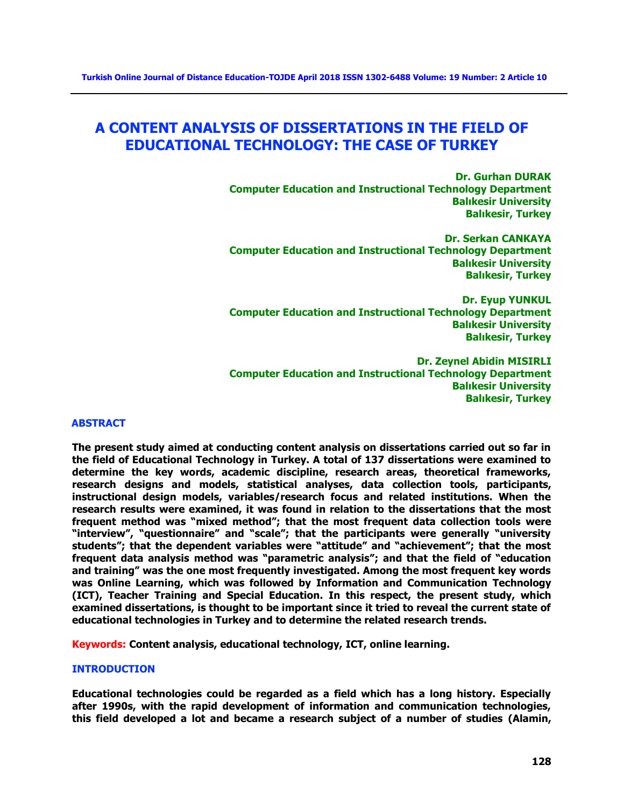# **A CONTENT ANALYSIS OF DISSERTATIONS IN THE FIELD OF EDUCATIONAL TECHNOLOGY: THE CASE OF TURKEY**

**Dr. Gurhan DURAK Computer Education and Instructional Technology Department Balıkesir University Balıkesir, Turkey**

**Dr. Serkan CANKAYA Computer Education and Instructional Technology Department Balıkesir University Balıkesir, Turkey**

**Dr. Eyup YUNKUL Computer Education and Instructional Technology Department Balıkesir University Balıkesir, Turkey**

**Dr. Zeynel Abidin MISIRLI Computer Education and Instructional Technology Department Balıkesir University Balıkesir, Turkey**

#### **ABSTRACT**

**The present study aimed at conducting content analysis on dissertations carried out so far in the field of Educational Technology in Turkey. A total of 137 dissertations were examined to determine the key words, academic discipline, research areas, theoretical frameworks, research designs and models, statistical analyses, data collection tools, participants, instructional design models, variables/research focus and related institutions. When the research results were examined, it was found in relation to the dissertations that the most frequent method was "mixed method"; that the most frequent data collection tools were "interview", "questionnaire" and "scale"; that the participants were generally "university students"; that the dependent variables were "attitude" and "achievement"; that the most frequent data analysis method was "parametric analysis"; and that the field of "education and training" was the one most frequently investigated. Among the most frequent key words was Online Learning, which was followed by Information and Communication Technology (ICT), Teacher Training and Special Education. In this respect, the present study, which examined dissertations, is thought to be important since it tried to reveal the current state of educational technologies in Turkey and to determine the related research trends.**

**Keywords: Content analysis, educational technology, ICT, online learning.**

#### **INTRODUCTION**

**Educational technologies could be regarded as a field which has a long history. Especially after 1990s, with the rapid development of information and communication technologies, this field developed a lot and became a research subject of a number of studies (Alamin,**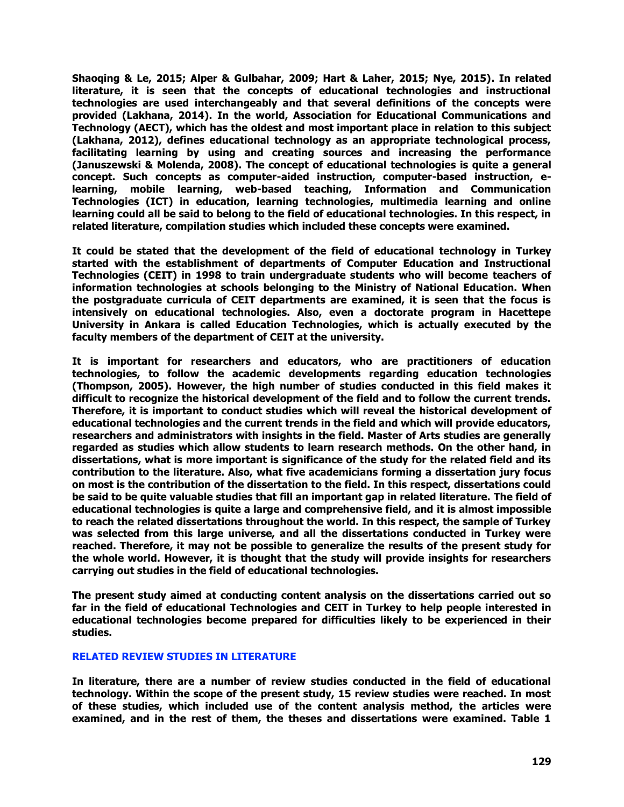**Shaoqing & Le, 2015; Alper & Gulbahar, 2009; Hart & Laher, 2015; Nye, 2015). In related literature, it is seen that the concepts of educational technologies and instructional technologies are used interchangeably and that several definitions of the concepts were provided (Lakhana, 2014). In the world, Association for Educational Communications and Technology (AECT), which has the oldest and most important place in relation to this subject (Lakhana, 2012), defines educational technology as an appropriate technological process, facilitating learning by using and creating sources and increasing the performance (Januszewski & Molenda, 2008). The concept of educational technologies is quite a general concept. Such concepts as computer-aided instruction, computer-based instruction, elearning, mobile learning, web-based teaching, Information and Communication Technologies (ICT) in education, learning technologies, multimedia learning and online learning could all be said to belong to the field of educational technologies. In this respect, in related literature, compilation studies which included these concepts were examined.** 

**It could be stated that the development of the field of educational technology in Turkey started with the establishment of departments of Computer Education and Instructional Technologies (CEIT) in 1998 to train undergraduate students who will become teachers of information technologies at schools belonging to the Ministry of National Education. When the postgraduate curricula of CEIT departments are examined, it is seen that the focus is intensively on educational technologies. Also, even a doctorate program in Hacettepe University in Ankara is called Education Technologies, which is actually executed by the faculty members of the department of CEIT at the university.** 

**It is important for researchers and educators, who are practitioners of education technologies, to follow the academic developments regarding education technologies (Thompson, 2005). However, the high number of studies conducted in this field makes it difficult to recognize the historical development of the field and to follow the current trends. Therefore, it is important to conduct studies which will reveal the historical development of educational technologies and the current trends in the field and which will provide educators, researchers and administrators with insights in the field. Master of Arts studies are generally regarded as studies which allow students to learn research methods. On the other hand, in dissertations, what is more important is significance of the study for the related field and its contribution to the literature. Also, what five academicians forming a dissertation jury focus on most is the contribution of the dissertation to the field. In this respect, dissertations could be said to be quite valuable studies that fill an important gap in related literature. The field of educational technologies is quite a large and comprehensive field, and it is almost impossible to reach the related dissertations throughout the world. In this respect, the sample of Turkey was selected from this large universe, and all the dissertations conducted in Turkey were reached. Therefore, it may not be possible to generalize the results of the present study for the whole world. However, it is thought that the study will provide insights for researchers carrying out studies in the field of educational technologies.** 

**The present study aimed at conducting content analysis on the dissertations carried out so far in the field of educational Technologies and CEIT in Turkey to help people interested in educational technologies become prepared for difficulties likely to be experienced in their studies.** 

#### **RELATED REVIEW STUDIES IN LITERATURE**

**In literature, there are a number of review studies conducted in the field of educational technology. Within the scope of the present study, 15 review studies were reached. In most of these studies, which included use of the content analysis method, the articles were examined, and in the rest of them, the theses and dissertations were examined. Table 1**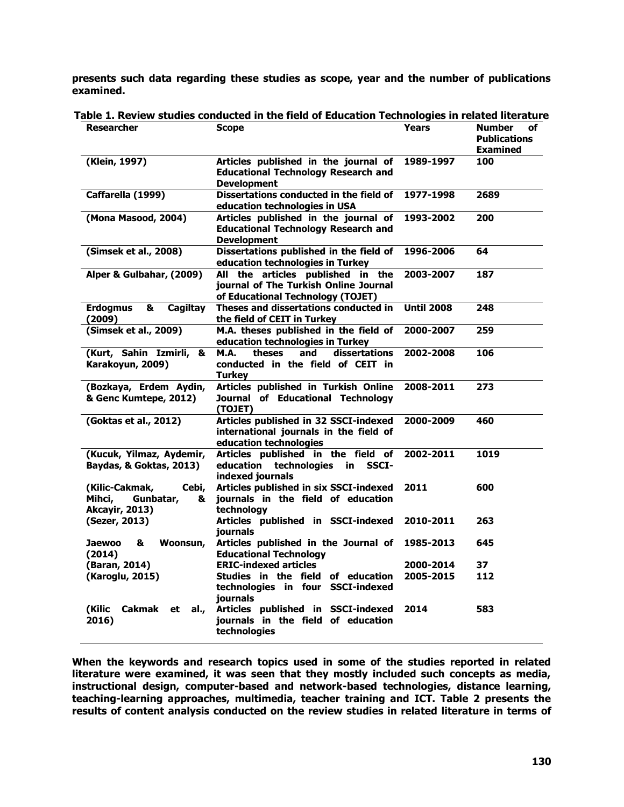**presents such data regarding these studies as scope, year and the number of publications examined.** 

| <b>Researcher</b>                                                            | <b>Scope</b>                                                                                                    | Years             | <b>Number</b><br>of<br><b>Publications</b><br><b>Examined</b> |
|------------------------------------------------------------------------------|-----------------------------------------------------------------------------------------------------------------|-------------------|---------------------------------------------------------------|
| (Klein, 1997)                                                                | Articles published in the journal of<br><b>Educational Technology Research and</b><br><b>Development</b>        | 1989-1997         | 100                                                           |
| Caffarella (1999)                                                            | <b>Dissertations conducted in the field of</b><br>education technologies in USA                                 | 1977-1998         | 2689                                                          |
| (Mona Masood, 2004)                                                          | Articles published in the journal of<br><b>Educational Technology Research and</b><br><b>Development</b>        | 1993-2002         | 200                                                           |
| (Simsek et al., 2008)                                                        | Dissertations published in the field of<br>education technologies in Turkey                                     | 1996-2006         | 64                                                            |
| Alper & Gulbahar, (2009)                                                     | All the articles published in the<br>journal of The Turkish Online Journal<br>of Educational Technology (TOJET) | 2003-2007         | 187                                                           |
| <b>Erdogmus</b><br>&<br>Cagiltay<br>(2009)                                   | Theses and dissertations conducted in<br>the field of CEIT in Turkey                                            | <b>Until 2008</b> | 248                                                           |
| (Simsek et al., 2009)                                                        | M.A. theses published in the field of<br>education technologies in Turkey                                       | 2000-2007         | 259                                                           |
| (Kurt, Sahin Izmirli,<br>&<br>Karakoyun, 2009)                               | theses<br>and<br>dissertations<br><b>M.A.</b><br>conducted in the field of CEIT in<br>Turkey                    | 2002-2008         | 106                                                           |
| (Bozkaya, Erdem Aydin,<br>& Genc Kumtepe, 2012)                              | Articles published in Turkish Online<br>Journal of Educational Technology<br>(TOJET)                            | 2008-2011         | 273                                                           |
| (Goktas et al., 2012)                                                        | Articles published in 32 SSCI-indexed<br>international journals in the field of<br>education technologies       | 2000-2009         | 460                                                           |
| (Kucuk, Yilmaz, Aydemir,<br>Baydas, & Goktas, 2013)                          | Articles published in the field of<br>education technologies<br>in<br><b>SSCI-</b><br>indexed journals          | 2002-2011         | 1019                                                          |
| (Kilic-Cakmak,<br>Cebi,<br>Mihci,<br>Gunbatar,<br>&<br><b>Akcayir, 2013)</b> | Articles published in six SSCI-indexed<br>journals in the field of education<br>technology                      | 2011              | 600                                                           |
| (Sezer, 2013)                                                                | Articles published in SSCI-indexed<br><b>journals</b>                                                           | 2010-2011         | 263                                                           |
| <b>Jaewoo</b><br>&<br>Woonsun,<br>(2014)                                     | Articles published in the Journal of<br><b>Educational Technology</b>                                           | 1985-2013         | 645                                                           |
| (Baran, 2014)                                                                | <b>ERIC-indexed articles</b>                                                                                    | 2000-2014         | 37                                                            |
| (Karoglu, 2015)                                                              | Studies in the field of education<br>technologies in four SSCI-indexed<br>journals                              | 2005-2015         | 112                                                           |
| (Kilic<br>Cakmak<br>et<br>al.,<br>2016)                                      | Articles published in SSCI-indexed<br>journals in the field of education<br>technologies                        | 2014              | 583                                                           |

**Table 1. Review studies conducted in the field of Education Technologies in related literature**

**When the keywords and research topics used in some of the studies reported in related literature were examined, it was seen that they mostly included such concepts as media, instructional design, computer-based and network-based technologies, distance learning, teaching-learning approaches, multimedia, teacher training and ICT. Table 2 presents the results of content analysis conducted on the review studies in related literature in terms of**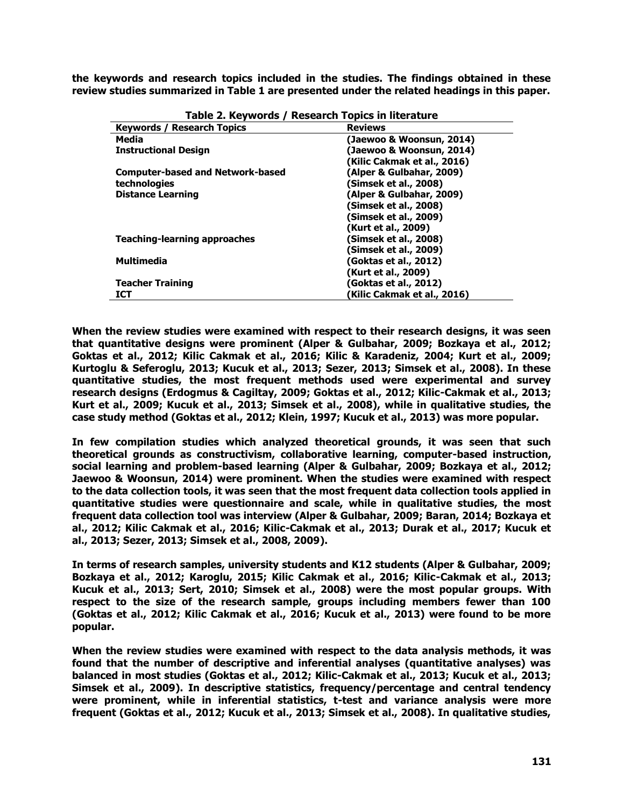**the keywords and research topics included in the studies. The findings obtained in these review studies summarized in Table 1 are presented under the related headings in this paper.**

| <b>Keywords / Research Topics</b>       | <b>Reviews</b>              |
|-----------------------------------------|-----------------------------|
| Media                                   | (Jaewoo & Woonsun, 2014)    |
| <b>Instructional Design</b>             | (Jaewoo & Woonsun, 2014)    |
|                                         | (Kilic Cakmak et al., 2016) |
| <b>Computer-based and Network-based</b> | (Alper & Gulbahar, 2009)    |
| technologies                            | (Simsek et al., 2008)       |
| <b>Distance Learning</b>                | (Alper & Gulbahar, 2009)    |
|                                         | (Simsek et al., 2008)       |
|                                         | (Simsek et al., 2009)       |
|                                         | (Kurt et al., 2009)         |
| <b>Teaching-learning approaches</b>     | (Simsek et al., 2008)       |
|                                         | (Simsek et al., 2009)       |
| <b>Multimedia</b>                       | (Goktas et al., 2012)       |
|                                         | (Kurt et al., 2009)         |
| <b>Teacher Training</b>                 | (Goktas et al., 2012)       |
| ICT                                     | (Kilic Cakmak et al., 2016) |

**Table 2. Keywords / Research Topics in literature**

**When the review studies were examined with respect to their research designs, it was seen that quantitative designs were prominent (Alper & Gulbahar, 2009; Bozkaya et al., 2012; Goktas et al., 2012; Kilic Cakmak et al., 2016; Kilic & Karadeniz, 2004; Kurt et al., 2009; Kurtoglu & Seferoglu, 2013; Kucuk et al., 2013; Sezer, 2013; Simsek et al., 2008). In these quantitative studies, the most frequent methods used were experimental and survey research designs (Erdogmus & Cagiltay, 2009; Goktas et al., 2012; Kilic-Cakmak et al., 2013; Kurt et al., 2009; Kucuk et al., 2013; Simsek et al., 2008), while in qualitative studies, the case study method (Goktas et al., 2012; Klein, 1997; Kucuk et al., 2013) was more popular.** 

**In few compilation studies which analyzed theoretical grounds, it was seen that such theoretical grounds as constructivism, collaborative learning, computer-based instruction, social learning and problem-based learning (Alper & Gulbahar, 2009; Bozkaya et al., 2012; Jaewoo & Woonsun, 2014) were prominent. When the studies were examined with respect to the data collection tools, it was seen that the most frequent data collection tools applied in quantitative studies were questionnaire and scale, while in qualitative studies, the most frequent data collection tool was interview (Alper & Gulbahar, 2009; Baran, 2014; Bozkaya et al., 2012; Kilic Cakmak et al., 2016; Kilic-Cakmak et al., 2013; Durak et al., 2017; Kucuk et al., 2013; Sezer, 2013; Simsek et al., 2008, 2009).**

**In terms of research samples, university students and K12 students (Alper & Gulbahar, 2009; Bozkaya et al., 2012; Karoglu, 2015; Kilic Cakmak et al., 2016; Kilic-Cakmak et al., 2013; Kucuk et al., 2013; Sert, 2010; Simsek et al., 2008) were the most popular groups. With respect to the size of the research sample, groups including members fewer than 100 (Goktas et al., 2012; Kilic Cakmak et al., 2016; Kucuk et al., 2013) were found to be more popular.** 

**When the review studies were examined with respect to the data analysis methods, it was found that the number of descriptive and inferential analyses (quantitative analyses) was balanced in most studies (Goktas et al., 2012; Kilic-Cakmak et al., 2013; Kucuk et al., 2013; Simsek et al., 2009). In descriptive statistics, frequency/percentage and central tendency were prominent, while in inferential statistics, t-test and variance analysis were more frequent (Goktas et al., 2012; Kucuk et al., 2013; Simsek et al., 2008). In qualitative studies,**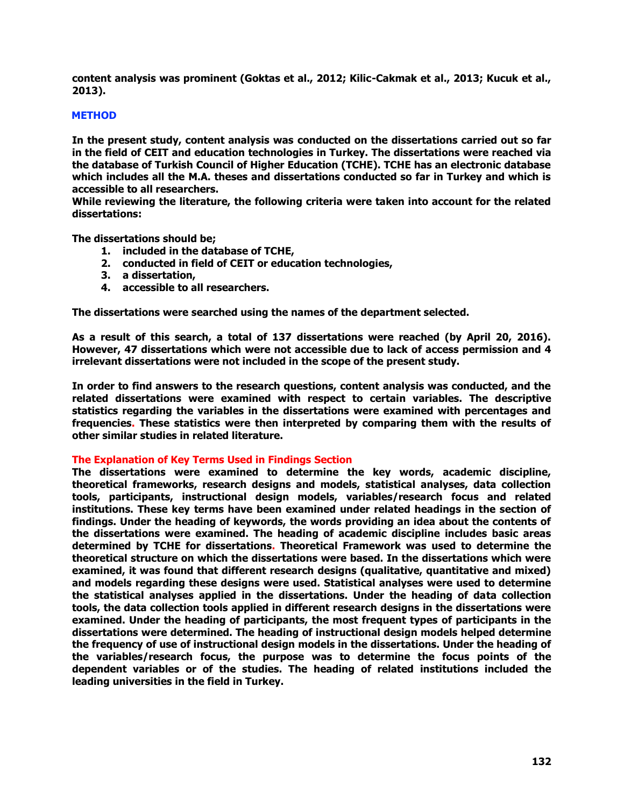**content analysis was prominent (Goktas et al., 2012; Kilic-Cakmak et al., 2013; Kucuk et al., 2013).** 

# **METHOD**

**In the present study, content analysis was conducted on the dissertations carried out so far in the field of CEIT and education technologies in Turkey. The dissertations were reached via the database of Turkish Council of Higher Education (TCHE). TCHE has an electronic database which includes all the M.A. theses and dissertations conducted so far in Turkey and which is accessible to all researchers.**

**While reviewing the literature, the following criteria were taken into account for the related dissertations:** 

**The dissertations should be;**

- **1. included in the database of TCHE,**
- **2. conducted in field of CEIT or education technologies,**
- **3. a dissertation,**
- **4. accessible to all researchers.**

**The dissertations were searched using the names of the department selected.** 

**As a result of this search, a total of 137 dissertations were reached (by April 20, 2016). However, 47 dissertations which were not accessible due to lack of access permission and 4 irrelevant dissertations were not included in the scope of the present study.** 

**In order to find answers to the research questions, content analysis was conducted, and the related dissertations were examined with respect to certain variables. The descriptive statistics regarding the variables in the dissertations were examined with percentages and frequencies. These statistics were then interpreted by comparing them with the results of other similar studies in related literature.** 

#### **The Explanation of Key Terms Used in Findings Section**

**The dissertations were examined to determine the key words, academic discipline, theoretical frameworks, research designs and models, statistical analyses, data collection tools, participants, instructional design models, variables/research focus and related institutions. These key terms have been examined under related headings in the section of findings. Under the heading of keywords, the words providing an idea about the contents of the dissertations were examined. The heading of academic discipline includes basic areas determined by TCHE for dissertations. Theoretical Framework was used to determine the theoretical structure on which the dissertations were based. In the dissertations which were examined, it was found that different research designs (qualitative, quantitative and mixed) and models regarding these designs were used. Statistical analyses were used to determine the statistical analyses applied in the dissertations. Under the heading of data collection tools, the data collection tools applied in different research designs in the dissertations were examined. Under the heading of participants, the most frequent types of participants in the dissertations were determined. The heading of instructional design models helped determine the frequency of use of instructional design models in the dissertations. Under the heading of the variables/research focus, the purpose was to determine the focus points of the dependent variables or of the studies. The heading of related institutions included the leading universities in the field in Turkey.**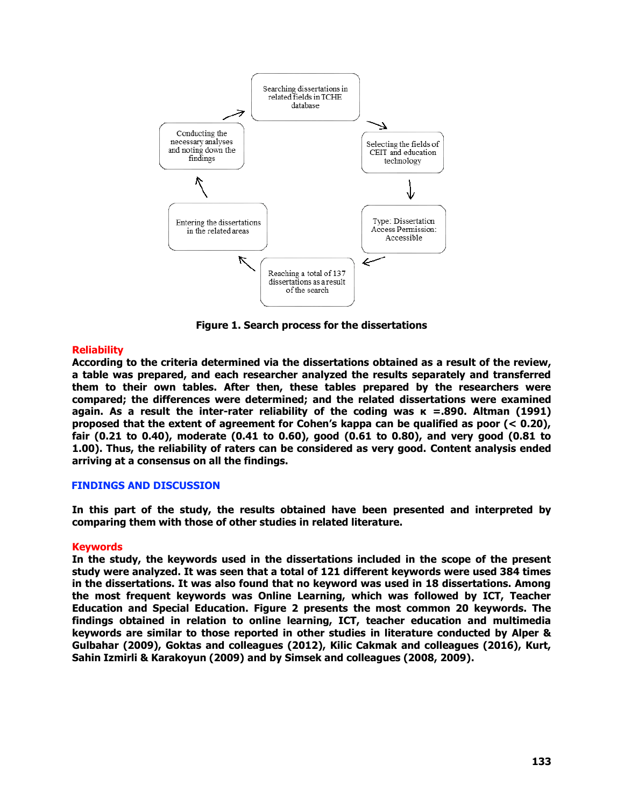

**Figure 1. Search process for the dissertations**

# **Reliability**

**According to the criteria determined via the dissertations obtained as a result of the review, a table was prepared, and each researcher analyzed the results separately and transferred them to their own tables. After then, these tables prepared by the researchers were compared; the differences were determined; and the related dissertations were examined again. As a result the inter-rater reliability of the coding was κ =.890. Altman (1991) proposed that the extent of agreement for Cohen's kappa can be qualified as poor (< 0.20), fair (0.21 to 0.40), moderate (0.41 to 0.60), good (0.61 to 0.80), and very good (0.81 to 1.00). Thus, the reliability of raters can be considered as very good. Content analysis ended arriving at a consensus on all the findings.**

# **FINDINGS AND DISCUSSION**

**In this part of the study, the results obtained have been presented and interpreted by comparing them with those of other studies in related literature.** 

#### **Keywords**

**In the study, the keywords used in the dissertations included in the scope of the present study were analyzed. It was seen that a total of 121 different keywords were used 384 times in the dissertations. It was also found that no keyword was used in 18 dissertations. Among the most frequent keywords was Online Learning, which was followed by ICT, Teacher Education and Special Education. Figure 2 presents the most common 20 keywords. The findings obtained in relation to online learning, ICT, teacher education and multimedia keywords are similar to those reported in other studies in literature conducted by Alper & Gulbahar (2009), Goktas and colleagues (2012), Kilic Cakmak and colleagues (2016), Kurt, Sahin Izmirli & Karakoyun (2009) and by Simsek and colleagues (2008, 2009).**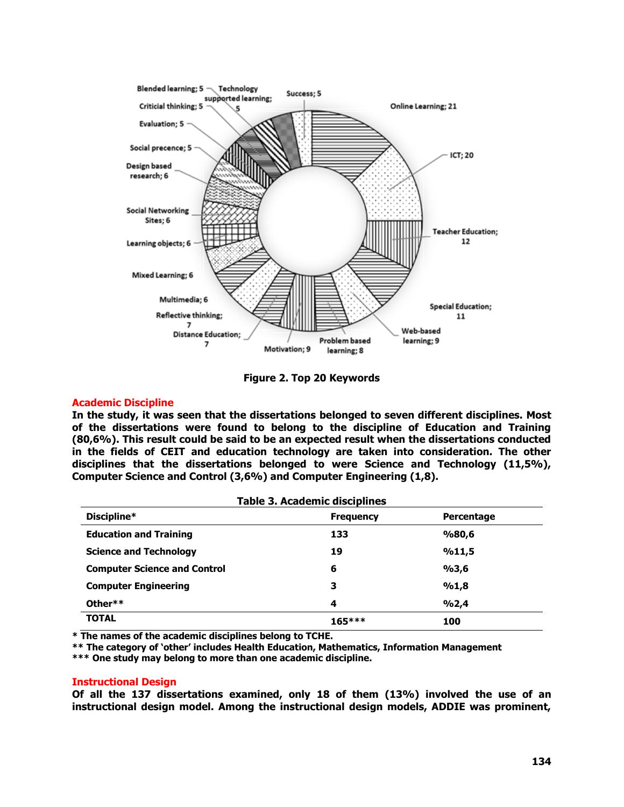

**Figure 2. Top 20 Keywords**

### **Academic Discipline**

**In the study, it was seen that the dissertations belonged to seven different disciplines. Most of the dissertations were found to belong to the discipline of Education and Training (80,6%). This result could be said to be an expected result when the dissertations conducted in the fields of CEIT and education technology are taken into consideration. The other disciplines that the dissertations belonged to were Science and Technology (11,5%), Computer Science and Control (3,6%) and Computer Engineering (1,8).** 

| <b>Table 3. Academic disciplines</b> |                  |            |  |  |  |
|--------------------------------------|------------------|------------|--|--|--|
| Discipline*                          | <b>Frequency</b> | Percentage |  |  |  |
| <b>Education and Training</b>        | 133              | %80,6      |  |  |  |
| <b>Science and Technology</b>        | 19               | %11,5      |  |  |  |
| <b>Computer Science and Control</b>  | 6                | %3,6       |  |  |  |
| <b>Computer Engineering</b>          | з                | %1,8       |  |  |  |
| Other**                              | 4                | 9/02,4     |  |  |  |
| <b>TOTAL</b>                         | $165***$         | 100        |  |  |  |

**\* The names of the academic disciplines belong to TCHE.** 

**\*\* The category of 'other' includes Health Education, Mathematics, Information Management** 

**\*\*\* One study may belong to more than one academic discipline.**

#### **Instructional Design**

**Of all the 137 dissertations examined, only 18 of them (13%) involved the use of an instructional design model. Among the instructional design models, ADDIE was prominent,**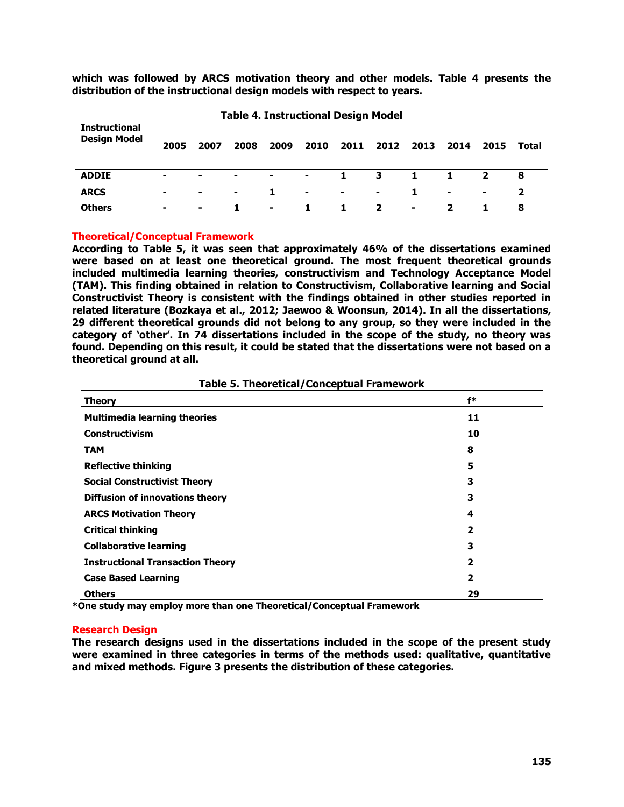**which was followed by ARCS motivation theory and other models. Table 4 presents the distribution of the instructional design models with respect to years.**

| <b>Table 4. Instructional Design Model</b>  |                |        |                |                |        |              |                         |                |                |                |                |
|---------------------------------------------|----------------|--------|----------------|----------------|--------|--------------|-------------------------|----------------|----------------|----------------|----------------|
| <b>Instructional</b><br><b>Design Model</b> | 2005           | 2007   | 2008           | 2009           | 2010   | 2011         | 2012                    | 2013           | 2014           | 2015           | Total          |
| <b>ADDIE</b>                                |                | $\sim$ | $\blacksquare$ | $\blacksquare$ | $\sim$ | $\mathbf{1}$ | $\overline{\mathbf{3}}$ | $\mathbf{1}$   | 1              | $\overline{2}$ | 8              |
| <b>ARCS</b>                                 | $\blacksquare$ | $\sim$ | $\blacksquare$ | 1.             | ٠      | ж.           | $\sim$                  | 1              | $\blacksquare$ | $\blacksquare$ | $\overline{2}$ |
| <b>Others</b>                               | ۰.             | $\sim$ | 1.             | $\blacksquare$ | 1.     | 1            | $\mathbf{2}$            | $\blacksquare$ | 2              | 1.             | 8              |

### **Theoretical/Conceptual Framework**

**According to Table 5, it was seen that approximately 46% of the dissertations examined were based on at least one theoretical ground. The most frequent theoretical grounds included multimedia learning theories, constructivism and Technology Acceptance Model (TAM). This finding obtained in relation to Constructivism, Collaborative learning and Social Constructivist Theory is consistent with the findings obtained in other studies reported in related literature (Bozkaya et al., 2012; Jaewoo & Woonsun, 2014). In all the dissertations, 29 different theoretical grounds did not belong to any group, so they were included in the category of 'other'. In 74 dissertations included in the scope of the study, no theory was found. Depending on this result, it could be stated that the dissertations were not based on a theoretical ground at all.** 

| Theory                                  | f*                      |
|-----------------------------------------|-------------------------|
| <b>Multimedia learning theories</b>     | 11                      |
| <b>Constructivism</b>                   | 10                      |
| <b>TAM</b>                              | 8                       |
| <b>Reflective thinking</b>              | 5                       |
| <b>Social Constructivist Theory</b>     | 3                       |
| <b>Diffusion of innovations theory</b>  | 3                       |
| <b>ARCS Motivation Theory</b>           | 4                       |
| <b>Critical thinking</b>                | $\overline{\mathbf{2}}$ |
| <b>Collaborative learning</b>           | 3                       |
| <b>Instructional Transaction Theory</b> | 2                       |
| <b>Case Based Learning</b>              | $\overline{\mathbf{2}}$ |
| <b>Others</b>                           | 29                      |

#### **Table 5. Theoretical/Conceptual Framework**

**\*One study may employ more than one Theoretical/Conceptual Framework**

#### **Research Design**

**The research designs used in the dissertations included in the scope of the present study were examined in three categories in terms of the methods used: qualitative, quantitative and mixed methods. Figure 3 presents the distribution of these categories.**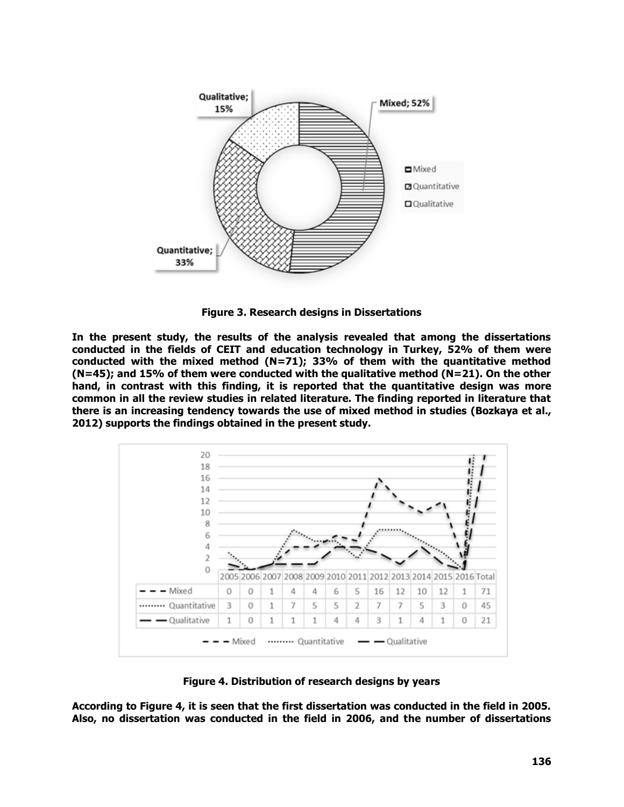

**Figure 3. Research designs in Dissertations**

**In the present study, the results of the analysis revealed that among the dissertations conducted in the fields of CEIT and education technology in Turkey, 52% of them were conducted with the mixed method (N=71); 33% of them with the quantitative method (N=45); and 15% of them were conducted with the qualitative method (N=21). On the other hand, in contrast with this finding, it is reported that the quantitative design was more common in all the review studies in related literature. The finding reported in literature that there is an increasing tendency towards the use of mixed method in studies (Bozkaya et al., 2012) supports the findings obtained in the present study.** 



**Figure 4. Distribution of research designs by years**

**According to Figure 4, it is seen that the first dissertation was conducted in the field in 2005. Also, no dissertation was conducted in the field in 2006, and the number of dissertations**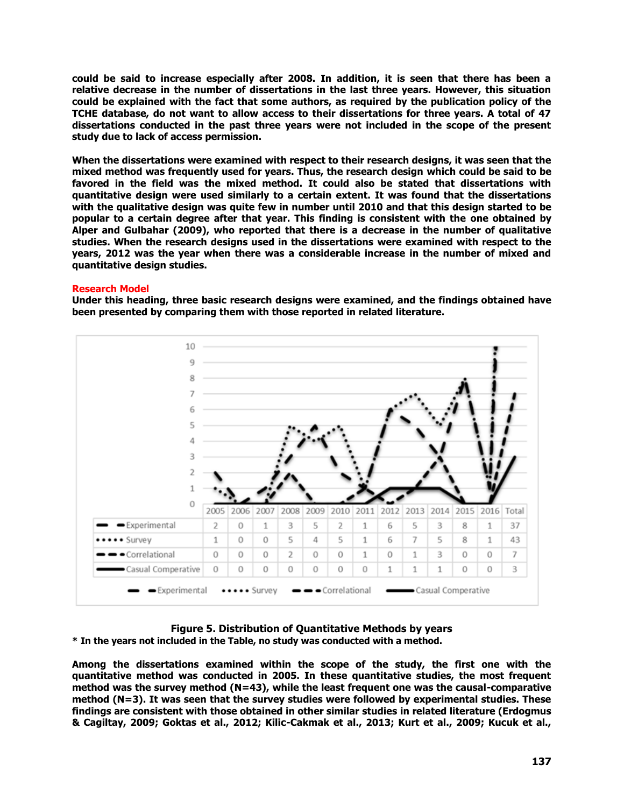**could be said to increase especially after 2008. In addition, it is seen that there has been a relative decrease in the number of dissertations in the last three years. However, this situation could be explained with the fact that some authors, as required by the publication policy of the TCHE database, do not want to allow access to their dissertations for three years. A total of 47 dissertations conducted in the past three years were not included in the scope of the present study due to lack of access permission.**

**When the dissertations were examined with respect to their research designs, it was seen that the mixed method was frequently used for years. Thus, the research design which could be said to be favored in the field was the mixed method. It could also be stated that dissertations with quantitative design were used similarly to a certain extent. It was found that the dissertations with the qualitative design was quite few in number until 2010 and that this design started to be popular to a certain degree after that year. This finding is consistent with the one obtained by Alper and Gulbahar (2009), who reported that there is a decrease in the number of qualitative studies. When the research designs used in the dissertations were examined with respect to the years, 2012 was the year when there was a considerable increase in the number of mixed and quantitative design studies.**

#### **Research Model**

**Under this heading, three basic research designs were examined, and the findings obtained have been presented by comparing them with those reported in related literature.** 



# **Figure 5. Distribution of Quantitative Methods by years**

**\* In the years not included in the Table, no study was conducted with a method.** 

**Among the dissertations examined within the scope of the study, the first one with the quantitative method was conducted in 2005. In these quantitative studies, the most frequent method was the survey method (N=43), while the least frequent one was the causal-comparative method (N=3). It was seen that the survey studies were followed by experimental studies. These findings are consistent with those obtained in other similar studies in related literature (Erdogmus & Cagiltay, 2009; Goktas et al., 2012; Kilic-Cakmak et al., 2013; Kurt et al., 2009; Kucuk et al.,**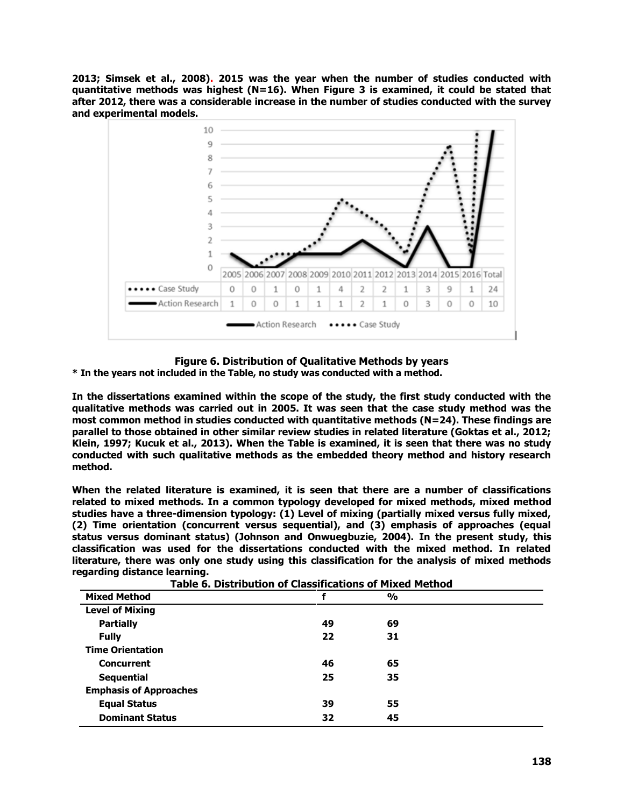**2013; Simsek et al., 2008). 2015 was the year when the number of studies conducted with quantitative methods was highest (N=16). When Figure 3 is examined, it could be stated that after 2012, there was a considerable increase in the number of studies conducted with the survey and experimental models.**



### **Figure 6. Distribution of Qualitative Methods by years**

**\* In the years not included in the Table, no study was conducted with a method.**

**In the dissertations examined within the scope of the study, the first study conducted with the qualitative methods was carried out in 2005. It was seen that the case study method was the most common method in studies conducted with quantitative methods (N=24). These findings are parallel to those obtained in other similar review studies in related literature (Goktas et al., 2012; Klein, 1997; Kucuk et al., 2013). When the Table is examined, it is seen that there was no study conducted with such qualitative methods as the embedded theory method and history research method.** 

**When the related literature is examined, it is seen that there are a number of classifications related to mixed methods. In a common typology developed for mixed methods, mixed method studies have a three-dimension typology: (1) Level of mixing (partially mixed versus fully mixed, (2) Time orientation (concurrent versus sequential), and (3) emphasis of approaches (equal status versus dominant status) (Johnson and Onwuegbuzie, 2004). In the present study, this classification was used for the dissertations conducted with the mixed method. In related literature, there was only one study using this classification for the analysis of mixed methods regarding distance learning.** 

| Table 6. Distribution of Classifications of Mixed Method |    |               |  |  |  |  |
|----------------------------------------------------------|----|---------------|--|--|--|--|
| <b>Mixed Method</b>                                      |    | $\frac{0}{0}$ |  |  |  |  |
| <b>Level of Mixing</b>                                   |    |               |  |  |  |  |
| <b>Partially</b>                                         | 49 | 69            |  |  |  |  |
| <b>Fully</b>                                             | 22 | 31            |  |  |  |  |
| <b>Time Orientation</b>                                  |    |               |  |  |  |  |
| <b>Concurrent</b>                                        | 46 | 65            |  |  |  |  |
| <b>Sequential</b>                                        | 25 | 35            |  |  |  |  |
| <b>Emphasis of Approaches</b>                            |    |               |  |  |  |  |
| <b>Equal Status</b>                                      | 39 | 55            |  |  |  |  |
| <b>Dominant Status</b>                                   | 32 | 45            |  |  |  |  |

**Table 6. Distribution of Classifications of Mixed Method**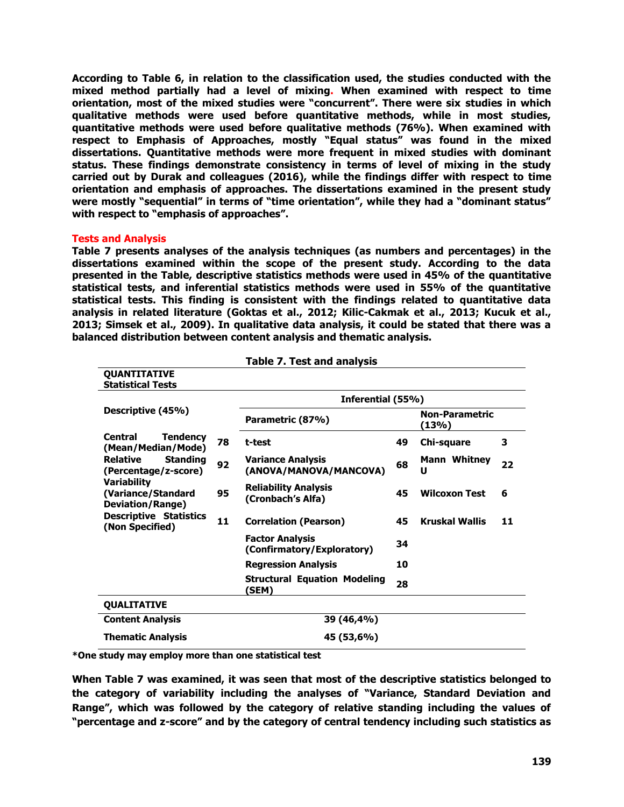**According to Table 6, in relation to the classification used, the studies conducted with the mixed method partially had a level of mixing. When examined with respect to time orientation, most of the mixed studies were "concurrent". There were six studies in which qualitative methods were used before quantitative methods, while in most studies, quantitative methods were used before qualitative methods (76%). When examined with respect to Emphasis of Approaches, mostly "Equal status" was found in the mixed dissertations. Quantitative methods were more frequent in mixed studies with dominant status. These findings demonstrate consistency in terms of level of mixing in the study carried out by Durak and colleagues (2016), while the findings differ with respect to time orientation and emphasis of approaches. The dissertations examined in the present study were mostly "sequential" in terms of "time orientation", while they had a "dominant status" with respect to "emphasis of approaches".** 

### **Tests and Analysis**

**Table 7 presents analyses of the analysis techniques (as numbers and percentages) in the dissertations examined within the scope of the present study. According to the data presented in the Table, descriptive statistics methods were used in 45% of the quantitative statistical tests, and inferential statistics methods were used in 55% of the quantitative statistical tests. This finding is consistent with the findings related to quantitative data analysis in related literature (Goktas et al., 2012; Kilic-Cakmak et al., 2013; Kucuk et al., 2013; Simsek et al., 2009). In qualitative data analysis, it could be stated that there was a balanced distribution between content analysis and thematic analysis.** 

**Table 7. Test and analysis**

|                                                                     |    | Table 7. Test and analysis                           |    |                                |    |  |  |  |  |
|---------------------------------------------------------------------|----|------------------------------------------------------|----|--------------------------------|----|--|--|--|--|
| QUANTITATIVE<br><b>Statistical Tests</b>                            |    |                                                      |    |                                |    |  |  |  |  |
|                                                                     |    | Inferential (55%)                                    |    |                                |    |  |  |  |  |
| Descriptive (45%)                                                   |    | Parametric (87%)                                     |    | <b>Non-Parametric</b><br>(13%) |    |  |  |  |  |
| <b>Tendency</b><br>Central<br>(Mean/Median/Mode)                    | 78 | t-test                                               | 49 | Chi-square                     | 3  |  |  |  |  |
| <b>Relative</b><br><b>Standing</b><br>(Percentage/z-score)          | 92 | <b>Variance Analysis</b><br>(ANOVA/MANOVA/MANCOVA)   | 68 | Mann Whitney<br>U              | 22 |  |  |  |  |
| <b>Variability</b><br>(Variance/Standard<br><b>Deviation/Range)</b> | 95 | <b>Reliability Analysis</b><br>(Cronbach's Alfa)     |    | <b>Wilcoxon Test</b>           | 6  |  |  |  |  |
| <b>Descriptive Statistics</b><br>11<br>(Non Specified)              |    | <b>Correlation (Pearson)</b>                         |    | <b>Kruskal Wallis</b>          | 11 |  |  |  |  |
|                                                                     |    | <b>Factor Analysis</b><br>(Confirmatory/Exploratory) | 34 |                                |    |  |  |  |  |
|                                                                     |    | <b>Regression Analysis</b>                           | 10 |                                |    |  |  |  |  |
|                                                                     |    | <b>Structural Equation Modeling</b><br>(SEM)         | 28 |                                |    |  |  |  |  |
| <b>QUALITATIVE</b>                                                  |    |                                                      |    |                                |    |  |  |  |  |
| <b>Content Analysis</b>                                             |    | 39 (46,4%)                                           |    |                                |    |  |  |  |  |
| <b>Thematic Analysis</b>                                            |    | 45 (53,6%)                                           |    |                                |    |  |  |  |  |

**\*One study may employ more than one statistical test**

**When Table 7 was examined, it was seen that most of the descriptive statistics belonged to the category of variability including the analyses of "Variance, Standard Deviation and Range", which was followed by the category of relative standing including the values of "percentage and z-score" and by the category of central tendency including such statistics as**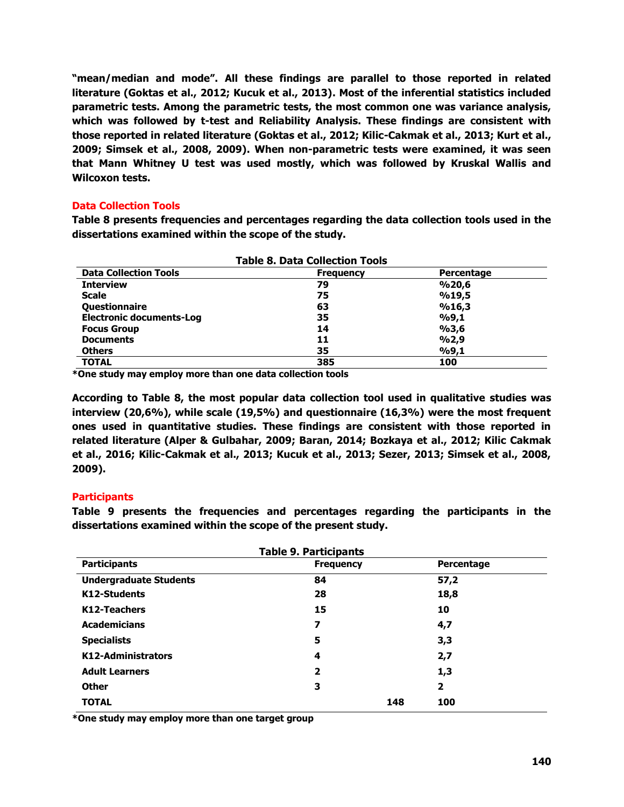**"mean/median and mode". All these findings are parallel to those reported in related literature (Goktas et al., 2012; Kucuk et al., 2013). Most of the inferential statistics included parametric tests. Among the parametric tests, the most common one was variance analysis, which was followed by t-test and Reliability Analysis. These findings are consistent with those reported in related literature (Goktas et al., 2012; Kilic-Cakmak et al., 2013; Kurt et al., 2009; Simsek et al., 2008, 2009). When non-parametric tests were examined, it was seen that Mann Whitney U test was used mostly, which was followed by Kruskal Wallis and Wilcoxon tests.** 

# **Data Collection Tools**

**Table 8 presents frequencies and percentages regarding the data collection tools used in the dissertations examined within the scope of the study.**

| <b>Table 8. Data Collection Tools</b> |                  |            |  |  |  |  |
|---------------------------------------|------------------|------------|--|--|--|--|
| <b>Data Collection Tools</b>          | <b>Frequency</b> | Percentage |  |  |  |  |
| <b>Interview</b>                      | 79               | %20,6      |  |  |  |  |
| <b>Scale</b>                          | 75               | %19,5      |  |  |  |  |
| Questionnaire                         | 63               | %16,3      |  |  |  |  |
| <b>Electronic documents-Log</b>       | 35               | %9,1       |  |  |  |  |
| <b>Focus Group</b>                    | 14               | %3,6       |  |  |  |  |
| <b>Documents</b>                      | 11               | %2,9       |  |  |  |  |
| <b>Others</b>                         | 35               | %9,1       |  |  |  |  |
| <b>TOTAL</b>                          | 385              | 100        |  |  |  |  |

**\*One study may employ more than one data collection tools**

**According to Table 8, the most popular data collection tool used in qualitative studies was interview (20,6%), while scale (19,5%) and questionnaire (16,3%) were the most frequent ones used in quantitative studies. These findings are consistent with those reported in related literature (Alper & Gulbahar, 2009; Baran, 2014; Bozkaya et al., 2012; Kilic Cakmak et al., 2016; Kilic-Cakmak et al., 2013; Kucuk et al., 2013; Sezer, 2013; Simsek et al., 2008, 2009).** 

# **Participants**

**Table 9 presents the frequencies and percentages regarding the participants in the dissertations examined within the scope of the present study.** 

| <b>Table 9. Participants</b>  |                         |            |  |  |  |  |  |
|-------------------------------|-------------------------|------------|--|--|--|--|--|
| <b>Participants</b>           | <b>Frequency</b>        | Percentage |  |  |  |  |  |
| <b>Undergraduate Students</b> | 84                      | 57,2       |  |  |  |  |  |
| K12-Students                  | 28                      | 18,8       |  |  |  |  |  |
| K12-Teachers                  | 15                      | 10         |  |  |  |  |  |
| <b>Academicians</b>           | 7                       | 4,7        |  |  |  |  |  |
| <b>Specialists</b>            | 5                       | 3,3        |  |  |  |  |  |
| K12-Administrators            | 4                       | 2,7        |  |  |  |  |  |
| <b>Adult Learners</b>         | $\overline{\mathbf{2}}$ | 1,3        |  |  |  |  |  |
| <b>Other</b>                  | 3                       | 2          |  |  |  |  |  |
| <b>TOTAL</b>                  | 148                     | 100        |  |  |  |  |  |

**\*One study may employ more than one target group**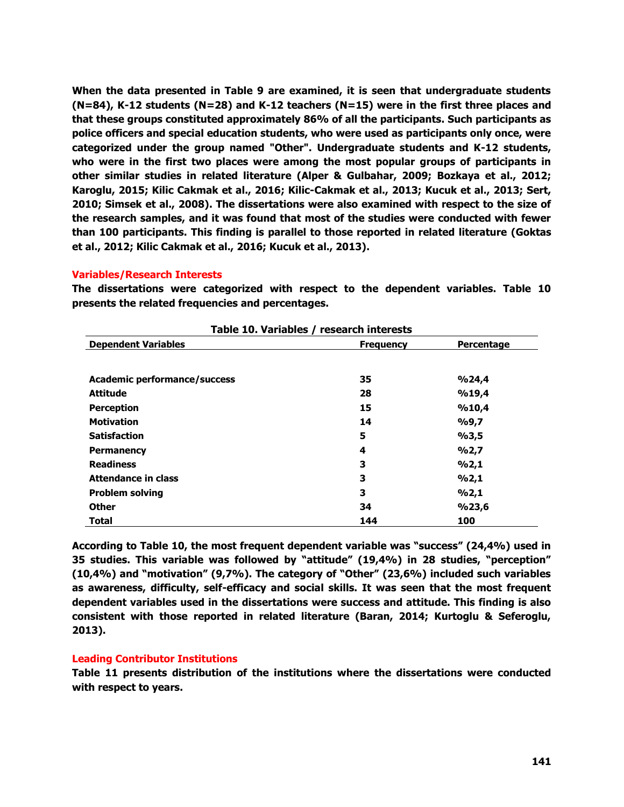**When the data presented in Table 9 are examined, it is seen that undergraduate students (N=84), K-12 students (N=28) and K-12 teachers (N=15) were in the first three places and that these groups constituted approximately 86% of all the participants. Such participants as police officers and special education students, who were used as participants only once, were categorized under the group named "Other". Undergraduate students and K-12 students, who were in the first two places were among the most popular groups of participants in other similar studies in related literature (Alper & Gulbahar, 2009; Bozkaya et al., 2012; Karoglu, 2015; Kilic Cakmak et al., 2016; Kilic-Cakmak et al., 2013; Kucuk et al., 2013; Sert, 2010; Simsek et al., 2008). The dissertations were also examined with respect to the size of the research samples, and it was found that most of the studies were conducted with fewer than 100 participants. This finding is parallel to those reported in related literature (Goktas et al., 2012; Kilic Cakmak et al., 2016; Kucuk et al., 2013).** 

### **Variables/Research Interests**

**The dissertations were categorized with respect to the dependent variables. Table 10 presents the related frequencies and percentages.** 

| Table 10. Variables / research interests |                  |            |  |  |  |  |  |
|------------------------------------------|------------------|------------|--|--|--|--|--|
| <b>Dependent Variables</b>               | <b>Frequency</b> | Percentage |  |  |  |  |  |
|                                          |                  |            |  |  |  |  |  |
| <b>Academic performance/success</b>      | 35               | %24,4      |  |  |  |  |  |
| <b>Attitude</b>                          | 28               | %19,4      |  |  |  |  |  |
| <b>Perception</b>                        | 15               | %10,4      |  |  |  |  |  |
| <b>Motivation</b>                        | 14               | %9,7       |  |  |  |  |  |
| <b>Satisfaction</b>                      | 5                | %3,5       |  |  |  |  |  |
| <b>Permanency</b>                        | 4                | 9/02,7     |  |  |  |  |  |
| <b>Readiness</b>                         | 3                | %2,1       |  |  |  |  |  |
| <b>Attendance in class</b>               | 3                | %2,1       |  |  |  |  |  |
| <b>Problem solving</b>                   | 3                | %2,1       |  |  |  |  |  |
| <b>Other</b>                             | 34               | %23,6      |  |  |  |  |  |
| <b>Total</b>                             | 144              | 100        |  |  |  |  |  |

**Table 10. Variables / research interests**

**According to Table 10, the most frequent dependent variable was "success" (24,4%) used in 35 studies. This variable was followed by "attitude" (19,4%) in 28 studies, "perception" (10,4%) and "motivation" (9,7%). The category of "Other" (23,6%) included such variables as awareness, difficulty, self-efficacy and social skills. It was seen that the most frequent dependent variables used in the dissertations were success and attitude. This finding is also consistent with those reported in related literature (Baran, 2014; Kurtoglu & Seferoglu, 2013).** 

# **Leading Contributor Institutions**

**Table 11 presents distribution of the institutions where the dissertations were conducted with respect to years.**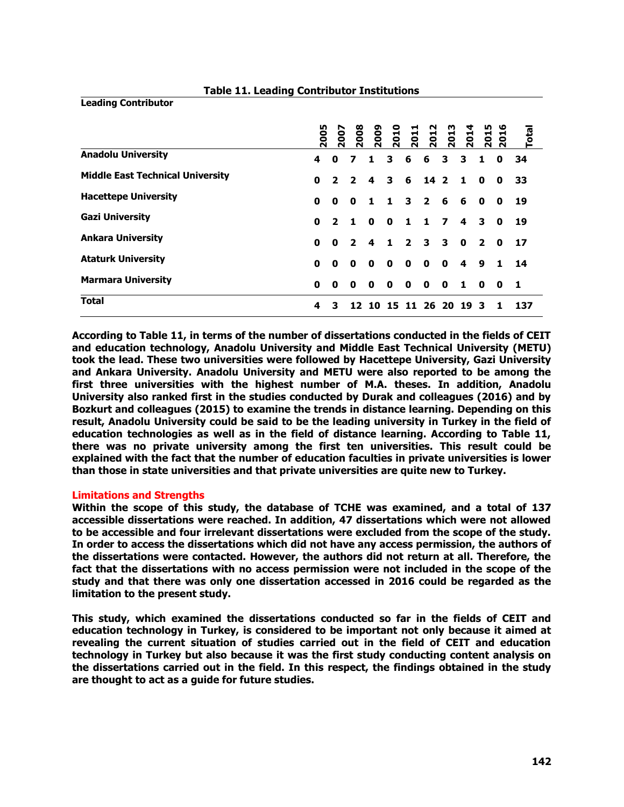|                                         | 2005 | 2007           | 2008           | <b>2009</b> | 2010         | 2011           | 2012           | 2013         | 2014        | 2015           | ٩F<br><b>R</b> | Total |
|-----------------------------------------|------|----------------|----------------|-------------|--------------|----------------|----------------|--------------|-------------|----------------|----------------|-------|
| <b>Anadolu University</b>               | 4    | 0              | 7              | 1           | 3            | 6              | 6              | 3            | 3           | 1              | 0              | 34    |
| <b>Middle East Technical University</b> | 0    | 2              | 2              | 4           | 3            | -6             | $142$          |              | 1           | $\mathbf{0}$   | 0              | 33    |
| <b>Hacettepe University</b>             | 0    | 0              | 0              | 1.          | 1.           | 3              | $\overline{2}$ | 6            | 6           | 0              | 0              | 19    |
| <b>Gazi University</b>                  | 0    | $\overline{2}$ | 1.             | 0           | $\mathbf{0}$ | 1.             | 1.             | 7            | 4           | 3              | 0              | 19    |
| <b>Ankara University</b>                | 0    | 0              | $\overline{2}$ | 4           | 1.           | $\overline{2}$ | 3              | 3            | $\mathbf 0$ | $\overline{2}$ | $\mathbf{0}$   | 17    |
| <b>Ataturk University</b>               | 0    | 0              | 0              | 0           | $\mathbf{0}$ | 0              | 0              | $\mathbf{0}$ | 4           | 9              | 1.             | 14    |
| <b>Marmara University</b>               | 0    | 0              | 0              | O           | $\mathbf{0}$ | $\mathbf o$    | $\mathbf{0}$   | $\mathbf{0}$ | $\mathbf 1$ | $\mathbf{0}$   | $\mathbf o$    | -1    |
| <b>Total</b>                            | 4    | 3              |                | 10          | 15           | 11             | 26             | 20           | 19          | з              |                | 137   |

#### **Table 11. Leading Contributor Institutions**

**According to Table 11, in terms of the number of dissertations conducted in the fields of CEIT and education technology, Anadolu University and Middle East Technical University (METU) took the lead. These two universities were followed by Hacettepe University, Gazi University and Ankara University. Anadolu University and METU were also reported to be among the first three universities with the highest number of M.A. theses. In addition, Anadolu University also ranked first in the studies conducted by Durak and colleagues (2016) and by Bozkurt and colleagues (2015) to examine the trends in distance learning. Depending on this result, Anadolu University could be said to be the leading university in Turkey in the field of education technologies as well as in the field of distance learning. According to Table 11, there was no private university among the first ten universities. This result could be explained with the fact that the number of education faculties in private universities is lower than those in state universities and that private universities are quite new to Turkey.** 

# **Limitations and Strengths**

**Leading Contributor**

**Within the scope of this study, the database of TCHE was examined, and a total of 137 accessible dissertations were reached. In addition, 47 dissertations which were not allowed to be accessible and four irrelevant dissertations were excluded from the scope of the study. In order to access the dissertations which did not have any access permission, the authors of the dissertations were contacted. However, the authors did not return at all. Therefore, the fact that the dissertations with no access permission were not included in the scope of the study and that there was only one dissertation accessed in 2016 could be regarded as the limitation to the present study.** 

**This study, which examined the dissertations conducted so far in the fields of CEIT and education technology in Turkey, is considered to be important not only because it aimed at revealing the current situation of studies carried out in the field of CEIT and education technology in Turkey but also because it was the first study conducting content analysis on the dissertations carried out in the field. In this respect, the findings obtained in the study are thought to act as a guide for future studies.**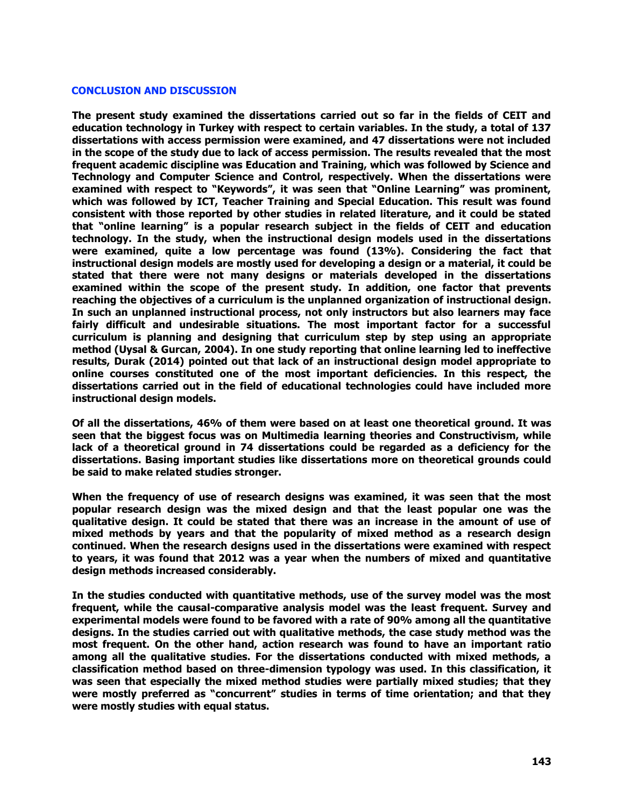#### **CONCLUSION AND DISCUSSION**

**The present study examined the dissertations carried out so far in the fields of CEIT and education technology in Turkey with respect to certain variables. In the study, a total of 137 dissertations with access permission were examined, and 47 dissertations were not included in the scope of the study due to lack of access permission. The results revealed that the most frequent academic discipline was Education and Training, which was followed by Science and Technology and Computer Science and Control, respectively. When the dissertations were examined with respect to "Keywords", it was seen that "Online Learning" was prominent, which was followed by ICT, Teacher Training and Special Education. This result was found consistent with those reported by other studies in related literature, and it could be stated that "online learning" is a popular research subject in the fields of CEIT and education technology. In the study, when the instructional design models used in the dissertations were examined, quite a low percentage was found (13%). Considering the fact that instructional design models are mostly used for developing a design or a material, it could be stated that there were not many designs or materials developed in the dissertations examined within the scope of the present study. In addition, one factor that prevents reaching the objectives of a curriculum is the unplanned organization of instructional design. In such an unplanned instructional process, not only instructors but also learners may face fairly difficult and undesirable situations. The most important factor for a successful curriculum is planning and designing that curriculum step by step using an appropriate method (Uysal & Gurcan, 2004). In one study reporting that online learning led to ineffective results, Durak (2014) pointed out that lack of an instructional design model appropriate to online courses constituted one of the most important deficiencies. In this respect, the dissertations carried out in the field of educational technologies could have included more instructional design models.**

**Of all the dissertations, 46% of them were based on at least one theoretical ground. It was seen that the biggest focus was on Multimedia learning theories and Constructivism, while lack of a theoretical ground in 74 dissertations could be regarded as a deficiency for the dissertations. Basing important studies like dissertations more on theoretical grounds could be said to make related studies stronger.**

**When the frequency of use of research designs was examined, it was seen that the most popular research design was the mixed design and that the least popular one was the qualitative design. It could be stated that there was an increase in the amount of use of mixed methods by years and that the popularity of mixed method as a research design continued. When the research designs used in the dissertations were examined with respect to years, it was found that 2012 was a year when the numbers of mixed and quantitative design methods increased considerably.** 

**In the studies conducted with quantitative methods, use of the survey model was the most frequent, while the causal-comparative analysis model was the least frequent. Survey and experimental models were found to be favored with a rate of 90% among all the quantitative designs. In the studies carried out with qualitative methods, the case study method was the most frequent. On the other hand, action research was found to have an important ratio among all the qualitative studies. For the dissertations conducted with mixed methods, a classification method based on three-dimension typology was used. In this classification, it was seen that especially the mixed method studies were partially mixed studies; that they were mostly preferred as "concurrent" studies in terms of time orientation; and that they were mostly studies with equal status.**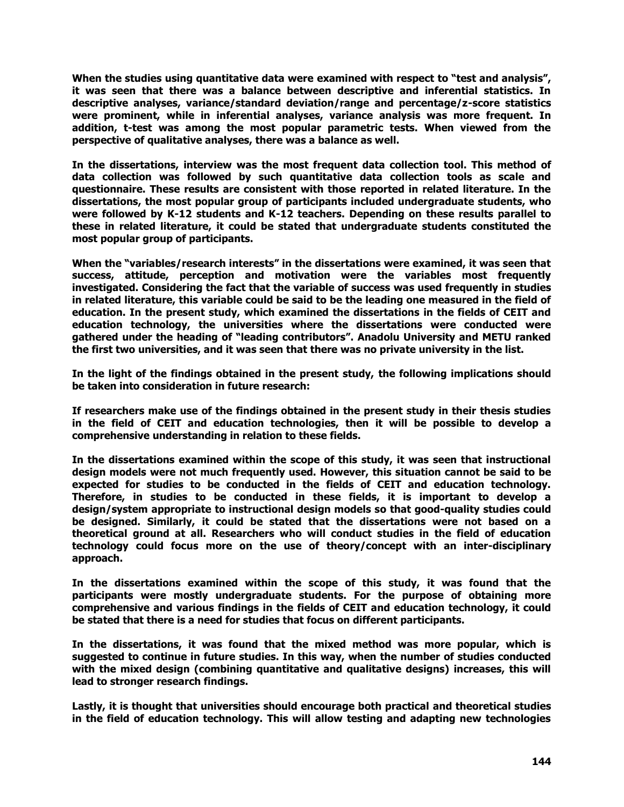**When the studies using quantitative data were examined with respect to "test and analysis", it was seen that there was a balance between descriptive and inferential statistics. In descriptive analyses, variance/standard deviation/range and percentage/z-score statistics were prominent, while in inferential analyses, variance analysis was more frequent. In addition, t-test was among the most popular parametric tests. When viewed from the perspective of qualitative analyses, there was a balance as well.**

**In the dissertations, interview was the most frequent data collection tool. This method of data collection was followed by such quantitative data collection tools as scale and questionnaire. These results are consistent with those reported in related literature. In the dissertations, the most popular group of participants included undergraduate students, who were followed by K-12 students and K-12 teachers. Depending on these results parallel to these in related literature, it could be stated that undergraduate students constituted the most popular group of participants.** 

**When the "variables/research interests" in the dissertations were examined, it was seen that success, attitude, perception and motivation were the variables most frequently investigated. Considering the fact that the variable of success was used frequently in studies in related literature, this variable could be said to be the leading one measured in the field of education. In the present study, which examined the dissertations in the fields of CEIT and education technology, the universities where the dissertations were conducted were gathered under the heading of "leading contributors". Anadolu University and METU ranked the first two universities, and it was seen that there was no private university in the list.** 

**In the light of the findings obtained in the present study, the following implications should be taken into consideration in future research:**

**If researchers make use of the findings obtained in the present study in their thesis studies in the field of CEIT and education technologies, then it will be possible to develop a comprehensive understanding in relation to these fields.** 

**In the dissertations examined within the scope of this study, it was seen that instructional design models were not much frequently used. However, this situation cannot be said to be expected for studies to be conducted in the fields of CEIT and education technology. Therefore, in studies to be conducted in these fields, it is important to develop a design/system appropriate to instructional design models so that good-quality studies could be designed. Similarly, it could be stated that the dissertations were not based on a theoretical ground at all. Researchers who will conduct studies in the field of education technology could focus more on the use of theory/concept with an inter-disciplinary approach.** 

**In the dissertations examined within the scope of this study, it was found that the participants were mostly undergraduate students. For the purpose of obtaining more comprehensive and various findings in the fields of CEIT and education technology, it could be stated that there is a need for studies that focus on different participants.** 

**In the dissertations, it was found that the mixed method was more popular, which is suggested to continue in future studies. In this way, when the number of studies conducted with the mixed design (combining quantitative and qualitative designs) increases, this will lead to stronger research findings.** 

**Lastly, it is thought that universities should encourage both practical and theoretical studies in the field of education technology. This will allow testing and adapting new technologies**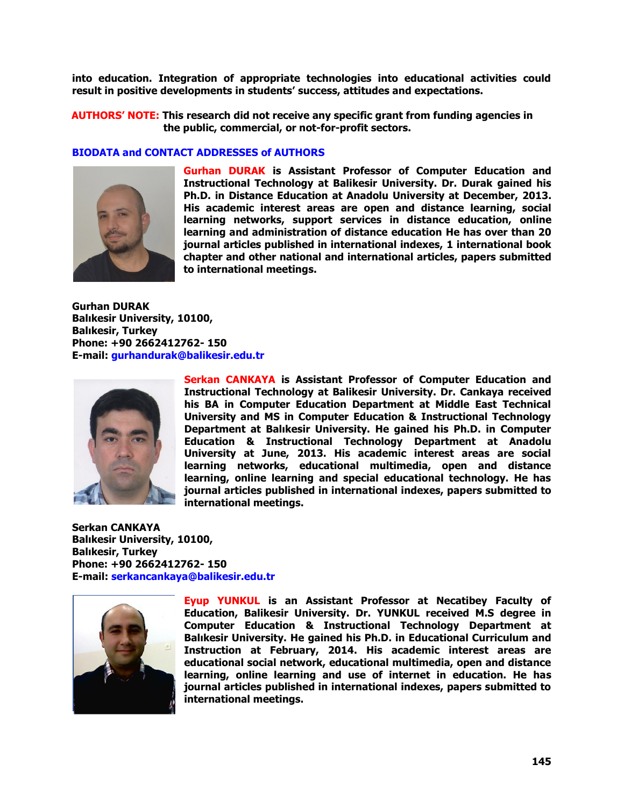**into education. Integration of appropriate technologies into educational activities could result in positive developments in students' success, attitudes and expectations.** 

**AUTHORS' NOTE: This research did not receive any specific grant from funding agencies in the public, commercial, or not-for-profit sectors.**

### **BIODATA and CONTACT ADDRESSES of AUTHORS**



**Gurhan DURAK is Assistant Professor of Computer Education and Instructional Technology at Balikesir University. Dr. Durak gained his Ph.D. in Distance Education at Anadolu University at December, 2013. His academic interest areas are open and distance learning, social learning networks, support services in distance education, online learning and administration of distance education He has over than 20 journal articles published in international indexes, 1 international book chapter and other national and international articles, papers submitted to international meetings.**

**Gurhan DURAK Balıkesir University, 10100, Balıkesir, Turkey Phone: +90 2662412762- 150 E-mail: gurhandurak@balikesir.edu.tr**



**Serkan CANKAYA is Assistant Professor of Computer Education and Instructional Technology at Balikesir University. Dr. Cankaya received his BA in Computer Education Department at Middle East Technical University and MS in Computer Education & Instructional Technology Department at Balıkesir University. He gained his Ph.D. in Computer Education & Instructional Technology Department at Anadolu University at June, 2013. His academic interest areas are social learning networks, educational multimedia, open and distance learning, online learning and special educational technology. He has journal articles published in international indexes, papers submitted to international meetings.**

**Serkan CANKAYA Balıkesir University, 10100, Balıkesir, Turkey Phone: +90 2662412762- 150 E-mail: [serkancankaya@balikesir.edu.tr](mailto:serkancankaya@balikesir.edu.tr)**



**Eyup YUNKUL is an Assistant Professor at Necatibey Faculty of Education, Balikesir University. Dr. YUNKUL received M.S degree in Computer Education & Instructional Technology Department at Balıkesir University. He gained his Ph.D. in Educational Curriculum and Instruction at February, 2014. His academic interest areas are educational social network, educational multimedia, open and distance learning, online learning and use of internet in education. He has journal articles published in international indexes, papers submitted to international meetings.**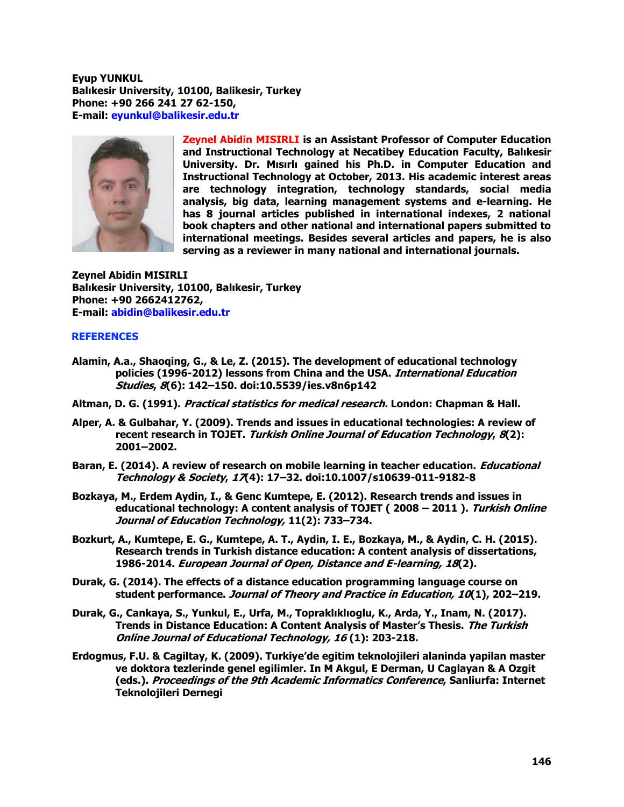**Eyup YUNKUL Balıkesir University, 10100, Balikesir, Turkey Phone: +90 266 241 27 62-150, E-mail: [eyunkul@balikesir.edu.tr](mailto:eyunkul@balikesir.edu.tr)**



**Zeynel Abidin MISIRLI is an Assistant Professor of Computer Education and Instructional Technology at Necatibey Education Faculty, Balıkesir University. Dr. Mısırlı gained his Ph.D. in Computer Education and Instructional Technology at October, 2013. His academic interest areas are technology integration, technology standards, social media analysis, big data, learning management systems and e-learning. He has 8 journal articles published in international indexes, 2 national book chapters and other national and international papers submitted to international meetings. Besides several articles and papers, he is also serving as a reviewer in many national and international journals.**

**Zeynel Abidin MISIRLI Balıkesir University, 10100, Balıkesir, Turkey Phone: +90 2662412762, E-mail: [abidin@balikesir.edu.tr](mailto:abidin@balikesir.edu.tr)**

### **REFERENCES**

- **Alamin, A.a., Shaoqing, G., & Le, Z. (2015). The development of educational technology policies (1996-2012) lessons from China and the USA. International Education Studies, 8(6): 142–150. doi:10.5539/ies.v8n6p142**
- **Altman, D. G. (1991). Practical statistics for medical research. London: Chapman & Hall.**
- **Alper, A. & Gulbahar, Y. (2009). Trends and issues in educational technologies: A review of recent research in TOJET. Turkish Online Journal of Education Technology, 8(2): 2001–2002.**
- Baran, E. (2014). A review of research on mobile learning in teacher education. *Educational* **Technology & Society, 17(4): 17–32. doi:10.1007/s10639-011-9182-8**
- **Bozkaya, M., Erdem Aydin, I., & Genc Kumtepe, E. (2012). Research trends and issues in educational technology: A content analysis of TOJET ( 2008 – 2011 ). Turkish Online Journal of Education Technology, 11(2): 733–734.**
- **Bozkurt, A., Kumtepe, E. G., Kumtepe, A. T., Aydin, I. E., Bozkaya, M., & Aydin, C. H. (2015). Research trends in Turkish distance education: A content analysis of dissertations, 1986-2014. European Journal of Open, Distance and E-learning, 18(2).**
- **Durak, G. (2014). The effects of a distance education programming language course on student performance. Journal of Theory and Practice in Education, 10(1), 202–219.**
- **Durak, G., Cankaya, S., Yunkul, E., Urfa, M., Topraklıklıoglu, K., Arda, Y., Inam, N. (2017). Trends in Distance Education: A Content Analysis of Master's Thesis. The Turkish Online Journal of Educational Technology, 16 (1): 203-218.**
- **Erdogmus, F.U. & Cagiltay, K. (2009). Turkiye'de egitim teknolojileri alaninda yapilan master ve doktora tezlerinde genel egilimler. In M Akgul, E Derman, U Caglayan & A Ozgit (eds.). Proceedings of the 9th Academic Informatics Conference, Sanliurfa: Internet Teknolojileri Dernegi**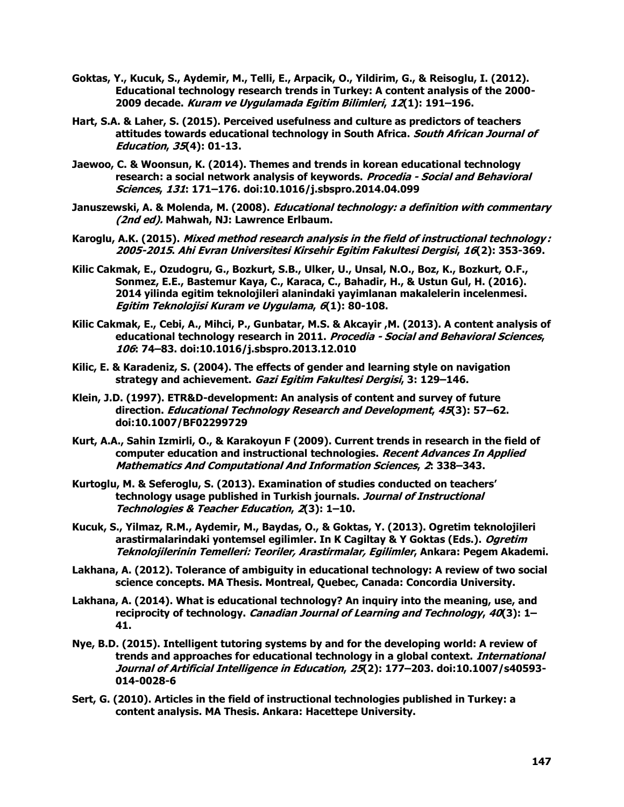- **Goktas, Y., Kucuk, S., Aydemir, M., Telli, E., Arpacik, O., Yildirim, G., & Reisoglu, I. (2012). Educational technology research trends in Turkey: A content analysis of the 2000- 2009 decade. Kuram ve Uygulamada Egitim Bilimleri, 12(1): 191–196.**
- **Hart, S.A. & Laher, S. (2015). Perceived usefulness and culture as predictors of teachers attitudes towards educational technology in South Africa. South African Journal of Education, 35(4): 01-13.**
- **Jaewoo, C. & Woonsun, K. (2014). Themes and trends in korean educational technology research: a social network analysis of keywords. Procedia - Social and Behavioral Sciences, 131: 171–176. doi:10.1016/j.sbspro.2014.04.099**
- **Januszewski, A. & Molenda, M. (2008). Educational technology: a definition with commentary (2nd ed). Mahwah, NJ: Lawrence Erlbaum.**
- **Karoglu, A.K. (2015). Mixed method research analysis in the field of instructional technology : 2005-2015. Ahi Evran Universitesi Kirsehir Egitim Fakultesi Dergisi, 16(2): 353-369.**
- **Kilic Cakmak, E., Ozudogru, G., Bozkurt, S.B., Ulker, U., Unsal, N.O., Boz, K., Bozkurt, O.F., Sonmez, E.E., Bastemur Kaya, C., Karaca, C., Bahadir, H., & Ustun Gul, H. (2016). 2014 yilinda egitim teknolojileri alanindaki yayimlanan makalelerin incelenmesi. Egitim Teknolojisi Kuram ve Uygulama, 6(1): 80-108.**
- **Kilic Cakmak, E., Cebi, A., Mihci, P., Gunbatar, M.S. & Akcayir ,M. (2013). A content analysis of educational technology research in 2011. Procedia - Social and Behavioral Sciences, 106: 74–83. doi:10.1016/j.sbspro.2013.12.010**
- **Kilic, E. & Karadeniz, S. (2004). The effects of gender and learning style on navigation strategy and achievement. Gazi Egitim Fakultesi Dergisi, 3: 129–146.**
- **Klein, J.D. (1997). ETR&D-development: An analysis of content and survey of future direction. Educational Technology Research and Development, 45(3): 57–62. doi:10.1007/BF02299729**
- **Kurt, A.A., Sahin Izmirli, O., & Karakoyun F (2009). Current trends in research in the field of computer education and instructional technologies. Recent Advances In Applied Mathematics And Computational And Information Sciences, 2: 338–343.**
- **Kurtoglu, M. & Seferoglu, S. (2013). Examination of studies conducted on teachers' technology usage published in Turkish journals. Journal of Instructional Technologies & Teacher Education, 2(3): 1–10.**
- **Kucuk, S., Yilmaz, R.M., Aydemir, M., Baydas, O., & Goktas, Y. (2013). Ogretim teknolojileri arastirmalarindaki yontemsel egilimler. In K Cagiltay & Y Goktas (Eds.). Ogretim Teknolojilerinin Temelleri: Teoriler, Arastirmalar, Egilimler, Ankara: Pegem Akademi.**
- **Lakhana, A. (2012). Tolerance of ambiguity in educational technology: A review of two social science concepts. MA Thesis. Montreal, Quebec, Canada: Concordia University.**
- **Lakhana, A. (2014). What is educational technology? An inquiry into the meaning, use, and reciprocity of technology. Canadian Journal of Learning and Technology, 40(3): 1– 41.**
- **Nye, B.D. (2015). Intelligent tutoring systems by and for the developing world: A review of trends and approaches for educational technology in a global context. International Journal of Artificial Intelligence in Education, 25(2): 177–203. doi:10.1007/s40593- 014-0028-6**
- **Sert, G. (2010). Articles in the field of instructional technologies published in Turkey: a content analysis. MA Thesis. Ankara: Hacettepe University.**